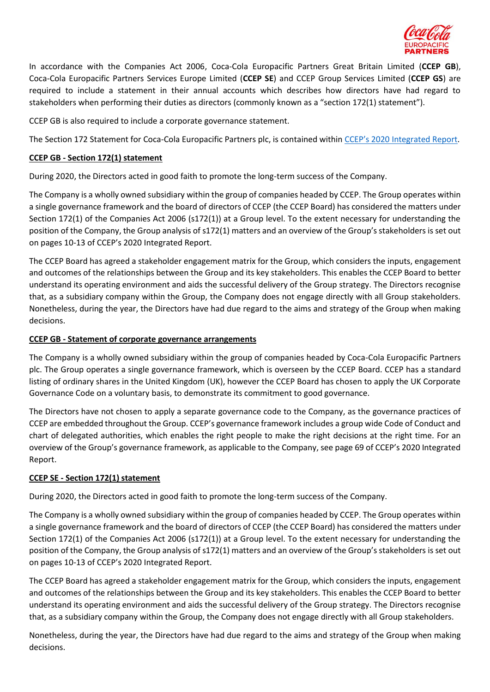

In accordance with the Companies Act 2006, Coca-Cola Europacific Partners Great Britain Limited (**CCEP GB**), Coca-Cola Europacific Partners Services Europe Limited (**CCEP SE**) and CCEP Group Services Limited (**CCEP GS**) are required to include a statement in their annual accounts which describes how directors have had regard to stakeholders when performing their duties as directors (commonly known as a "section 172(1) statement").

CCEP GB is also required to include a corporate governance statement.

The Section 172 Statement for Coca-Cola Europacific Partners plc, is contained within CCEP's 2020 [Integrated Report.](https://www.cocacolaep.com/assets/3bb530ebfc/2021-CCEP-Integrated-Report-and-Form-20-F_v2.pdf)

## **CCEP GB - Section 172(1) statement**

During 2020, the Directors acted in good faith to promote the long-term success of the Company.

The Company is a wholly owned subsidiary within the group of companies headed by CCEP. The Group operates within a single governance framework and the board of directors of CCEP (the CCEP Board) has considered the matters under Section 172(1) of the Companies Act 2006 (s172(1)) at a Group level. To the extent necessary for understanding the position of the Company, the Group analysis of s172(1) matters and an overview of the Group's stakeholders is set out on pages 10-13 of CCEP's 2020 Integrated Report.

The CCEP Board has agreed a stakeholder engagement matrix for the Group, which considers the inputs, engagement and outcomes of the relationships between the Group and its key stakeholders. This enables the CCEP Board to better understand its operating environment and aids the successful delivery of the Group strategy. The Directors recognise that, as a subsidiary company within the Group, the Company does not engage directly with all Group stakeholders. Nonetheless, during the year, the Directors have had due regard to the aims and strategy of the Group when making decisions.

## **CCEP GB - Statement of corporate governance arrangements**

The Company is a wholly owned subsidiary within the group of companies headed by Coca-Cola Europacific Partners plc. The Group operates a single governance framework, which is overseen by the CCEP Board. CCEP has a standard listing of ordinary shares in the United Kingdom (UK), however the CCEP Board has chosen to apply the UK Corporate Governance Code on a voluntary basis, to demonstrate its commitment to good governance.

The Directors have not chosen to apply a separate governance code to the Company, as the governance practices of CCEP are embedded throughout the Group. CCEP's governance framework includes a group wide Code of Conduct and chart of delegated authorities, which enables the right people to make the right decisions at the right time. For an overview of the Group's governance framework, as applicable to the Company, see page 69 of CCEP's 2020 Integrated Report.

## **CCEP SE - Section 172(1) statement**

During 2020, the Directors acted in good faith to promote the long-term success of the Company.

The Company is a wholly owned subsidiary within the group of companies headed by CCEP. The Group operates within a single governance framework and the board of directors of CCEP (the CCEP Board) has considered the matters under Section 172(1) of the Companies Act 2006 (s172(1)) at a Group level. To the extent necessary for understanding the position of the Company, the Group analysis of s172(1) matters and an overview of the Group's stakeholders is set out on pages 10-13 of CCEP's 2020 Integrated Report.

The CCEP Board has agreed a stakeholder engagement matrix for the Group, which considers the inputs, engagement and outcomes of the relationships between the Group and its key stakeholders. This enables the CCEP Board to better understand its operating environment and aids the successful delivery of the Group strategy. The Directors recognise that, as a subsidiary company within the Group, the Company does not engage directly with all Group stakeholders.

Nonetheless, during the year, the Directors have had due regard to the aims and strategy of the Group when making decisions.